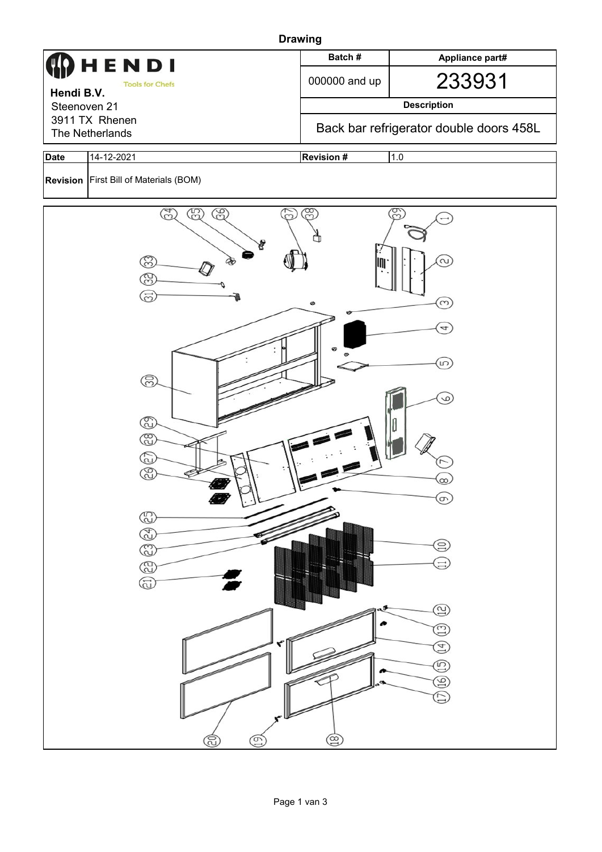| <b>Drawing</b>                                                                                |                                                                                                                           |                                                                                                    |  |  |  |  |  |  |
|-----------------------------------------------------------------------------------------------|---------------------------------------------------------------------------------------------------------------------------|----------------------------------------------------------------------------------------------------|--|--|--|--|--|--|
|                                                                                               | Batch#                                                                                                                    | Appliance part#                                                                                    |  |  |  |  |  |  |
| <b>Tools for Chefs</b>                                                                        | 000000 and up                                                                                                             | 233931                                                                                             |  |  |  |  |  |  |
|                                                                                               | <b>Description</b>                                                                                                        |                                                                                                    |  |  |  |  |  |  |
|                                                                                               | Back bar refrigerator double doors 458L                                                                                   |                                                                                                    |  |  |  |  |  |  |
| 14-12-2021                                                                                    | <b>Revision #</b><br>1.0                                                                                                  |                                                                                                    |  |  |  |  |  |  |
|                                                                                               |                                                                                                                           |                                                                                                    |  |  |  |  |  |  |
| 34<br>35)<br>39<br>₽<br>ශ<br>ၛၟ<br>$\widetilde{\Xi}$<br>ඹ<br>O<br>@<br>2)<br>3<br>G<br>E<br>ල | 38<br>◎                                                                                                                   | 39<br>$\approx$<br>$(\omega)$<br>4<br>$\omega$<br>$\omega$<br>$\infty$<br>$\bigodot$<br>⊜<br>$\Xi$ |  |  |  |  |  |  |
| ⋐                                                                                             |                                                                                                                           | $\circledcirc$<br>$\circledcirc$<br>$\bigoplus$<br>$\circled{5}$<br>$\odot$<br>(17)                |  |  |  |  |  |  |
|                                                                                               | HENDI<br>Hendi B.V.<br>Steenoven 21<br>3911 TX Rhenen<br>The Netherlands<br>Revision   First Bill of Materials (BOM)<br>E | $\circledS$                                                                                        |  |  |  |  |  |  |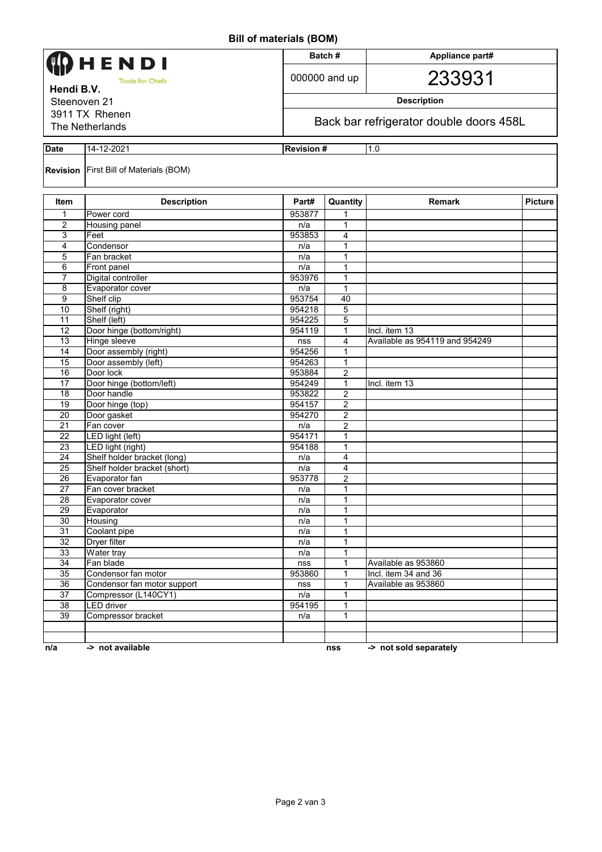| HENDI                  |                                               |                  | Batch#                                  | Appliance part#                |                |  |
|------------------------|-----------------------------------------------|------------------|-----------------------------------------|--------------------------------|----------------|--|
| <b>Tools for Chefs</b> |                                               |                  | 000000 and up                           | 233931                         |                |  |
|                        | Hendi B.V.                                    |                  |                                         |                                |                |  |
| Steenoven 21           |                                               |                  | <b>Description</b>                      |                                |                |  |
|                        | 3911 TX Rhenen                                |                  | Back bar refrigerator double doors 458L |                                |                |  |
|                        | The Netherlands                               |                  |                                         |                                |                |  |
| <b>Date</b>            | 14-12-2021                                    | <b>Revision#</b> |                                         | 1.0                            |                |  |
|                        | <b>Revision</b> First Bill of Materials (BOM) |                  |                                         |                                |                |  |
| Item                   | <b>Description</b>                            | Part#            | Quantity                                | <b>Remark</b>                  | <b>Picture</b> |  |
| 1                      | Power cord                                    | 953877           |                                         |                                |                |  |
| 2                      | Housing panel                                 | n/a              | 1                                       |                                |                |  |
| $\overline{3}$         | Feet                                          | 953853           | 4                                       |                                |                |  |
| 4                      | Condensor                                     | n/a              | 1                                       |                                |                |  |
| 5                      | Fan bracket                                   | n/a              | 1                                       |                                |                |  |
| 6                      | Front panel                                   | n/a              | 1                                       |                                |                |  |
| $\overline{7}$         | Digital controller                            | 953976           | 1                                       |                                |                |  |
| 8                      | Evaporator cover                              | n/a              | $\mathbf 1$                             |                                |                |  |
| 9                      | Shelf clip                                    | 953754           | 40                                      |                                |                |  |
| 10                     | Shelf (right)                                 | 954218           | 5                                       |                                |                |  |
| 11                     | Shelf (left)                                  | 954225           | $\overline{5}$                          |                                |                |  |
| 12                     | Door hinge (bottom/right)                     | 954119           | 1                                       | Incl. item 13                  |                |  |
| 13                     | Hinge sleeve                                  | nss              | 4                                       | Available as 954119 and 954249 |                |  |
| $\overline{14}$        | Door assembly (right)                         | 954256           | 1                                       |                                |                |  |
| 15                     | Door assembly (left)                          | 954263           | 1                                       |                                |                |  |
| 16                     | Door lock                                     | 953884           | $\overline{c}$                          |                                |                |  |
| 17                     | Door hinge (bottom/left)                      | 954249           | 1                                       | Incl. item 13                  |                |  |
| 18                     | Door handle                                   |                  | 2                                       |                                |                |  |
| $\overline{19}$        |                                               | 953822<br>954157 | $\overline{2}$                          |                                |                |  |
|                        | Door hinge (top)                              |                  |                                         |                                |                |  |
| $\overline{20}$        | Door gasket                                   | 954270           | $\overline{c}$                          |                                |                |  |
| 21                     | Fan cover                                     | n/a              | 2                                       |                                |                |  |
| 22                     | LED light (left)                              | 954171           | 1                                       |                                |                |  |
| 23                     | LED light (right)                             | 954188           | $\mathbf{1}$                            |                                |                |  |
| 24                     | Shelf holder bracket (long)                   | n/a              | 4                                       |                                |                |  |
| 25                     | Shelf holder bracket (short)                  | n/a              | 4                                       |                                |                |  |
| 26                     | Evaporator fan                                | 953778           | 2                                       |                                |                |  |
| $\overline{27}$        | Fan cover bracket                             | n/a              | $\mathbf{1}$                            |                                |                |  |
| $\overline{28}$        | Evaporator cover                              | n/a              | 1                                       |                                |                |  |
| 29                     | Evaporator                                    | n/a              | 1                                       |                                |                |  |
| 30                     | Housing                                       | n/a              | 1                                       |                                |                |  |
| 31                     | Coolant pipe                                  | n/a              | $\mathbf{1}$                            |                                |                |  |
| 32                     | <b>Dryer filter</b>                           | n/a              | 1                                       |                                |                |  |
| 33                     | Water tray                                    | n/a              | 1                                       |                                |                |  |
| 34                     | Fan blade                                     | nss              |                                         | Available as 953860            |                |  |
| 35                     | Condensor fan motor                           | 953860           | 1                                       | Incl. item 34 and 36           |                |  |
| $\overline{36}$        | Condensor fan motor support                   | nss              | 1                                       | Available as 953860            |                |  |
| 37                     | Compressor (L140CY1)                          | n/a              | 1                                       |                                |                |  |
| 38                     | <b>LED</b> driver                             | 954195           | 1                                       |                                |                |  |
| 39                     | Compressor bracket                            | n/a              | $\mathbf{1}$                            |                                |                |  |
|                        |                                               |                  |                                         |                                |                |  |
| n/a                    | -> not available                              |                  | nss                                     | -> not sold separately         |                |  |